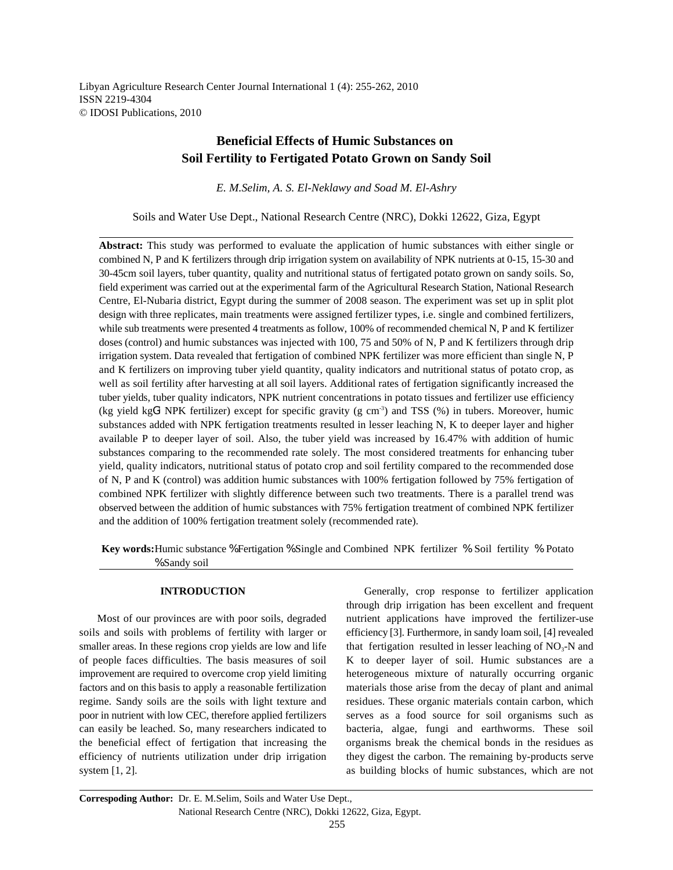Libyan Agriculture Research Center Journal International 1 (4): 255-262, 2010 ISSN 2219-4304 © IDOSI Publications, 2010

# **Beneficial Effects of Humic Substances on Soil Fertility to Fertigated Potato Grown on Sandy Soil**

*E. M.Selim, A. S. El-Neklawy and Soad M. El-Ashry*

Soils and Water Use Dept., National Research Centre (NRC), Dokki 12622, Giza, Egypt

**Abstract:** This study was performed to evaluate the application of humic substances with either single or combined N, P and K fertilizers through drip irrigation system on availability of NPK nutrients at 0-15, 15-30 and 30-45cm soil layers, tuber quantity, quality and nutritional status of fertigated potato grown on sandy soils. So, field experiment was carried out at the experimental farm of the Agricultural Research Station, National Research Centre, El-Nubaria district, Egypt during the summer of 2008 season. The experiment was set up in split plot design with three replicates, main treatments were assigned fertilizer types, i.e. single and combined fertilizers, while sub treatments were presented 4 treatments as follow, 100% of recommended chemical N, P and K fertilizer doses (control) and humic substances was injected with 100, 75 and 50% of N, P and K fertilizers through drip irrigation system. Data revealed that fertigation of combined NPK fertilizer was more efficient than single N, P and K fertilizers on improving tuber yield quantity, quality indicators and nutritional status of potato crop, as well as soil fertility after harvesting at all soil layers. Additional rates of fertigation significantly increased the tuber yields, tuber quality indicators, NPK nutrient concentrations in potato tissues and fertilizer use efficiency (kg yield kg $G<sup>1</sup>$  NPK fertilizer) except for specific gravity (g cm<sup>-3</sup>) and TSS (%) in tubers. Moreover, humic substances added with NPK fertigation treatments resulted in lesser leaching N, K to deeper layer and higher available P to deeper layer of soil. Also, the tuber yield was increased by 16.47% with addition of humic substances comparing to the recommended rate solely. The most considered treatments for enhancing tuber yield, quality indicators, nutritional status of potato crop and soil fertility compared to the recommended dose of N, P and K (control) was addition humic substances with 100% fertigation followed by 75% fertigation of combined NPK fertilizer with slightly difference between such two treatments. There is a parallel trend was observed between the addition of humic substances with 75% fertigation treatment of combined NPK fertilizer and the addition of 100% fertigation treatment solely (recommended rate).

**Key words:**Humic substance % Fertigation % Single and Combined NPK fertilizer % Soil fertility % Potato % Sandy soil

soils and soils with problems of fertility with larger or efficiency [3]. Furthermore, in sandy loam soil, [4] revealed smaller areas. In these regions crop yields are low and life that fertigation resulted in lesser leaching of  $NO<sub>3</sub>$ -N and of people faces difficulties. The basis measures of soil K to deeper layer of soil. Humic substances are a improvement are required to overcome crop yield limiting heterogeneous mixture of naturally occurring organic factors and on this basis to apply a reasonable fertilization materials those arise from the decay of plant and animal regime. Sandy soils are the soils with light texture and residues. These organic materials contain carbon, which poor in nutrient with low CEC, therefore applied fertilizers serves as a food source for soil organisms such as can easily be leached. So, many researchers indicated to bacteria, algae, fungi and earthworms. These soil the beneficial effect of fertigation that increasing the organisms break the chemical bonds in the residues as efficiency of nutrients utilization under drip irrigation they digest the carbon. The remaining by-products serve system [1, 2]. as building blocks of humic substances, which are not

**INTRODUCTION** Generally, crop response to fertilizer application Most of our provinces are with poor soils, degraded nutrient applications have improved the fertilizer-use through drip irrigation has been excellent and frequent

**Correspoding Author:** Dr. E. M.Selim, Soils and Water Use Dept., National Research Centre (NRC), Dokki 12622, Giza, Egypt.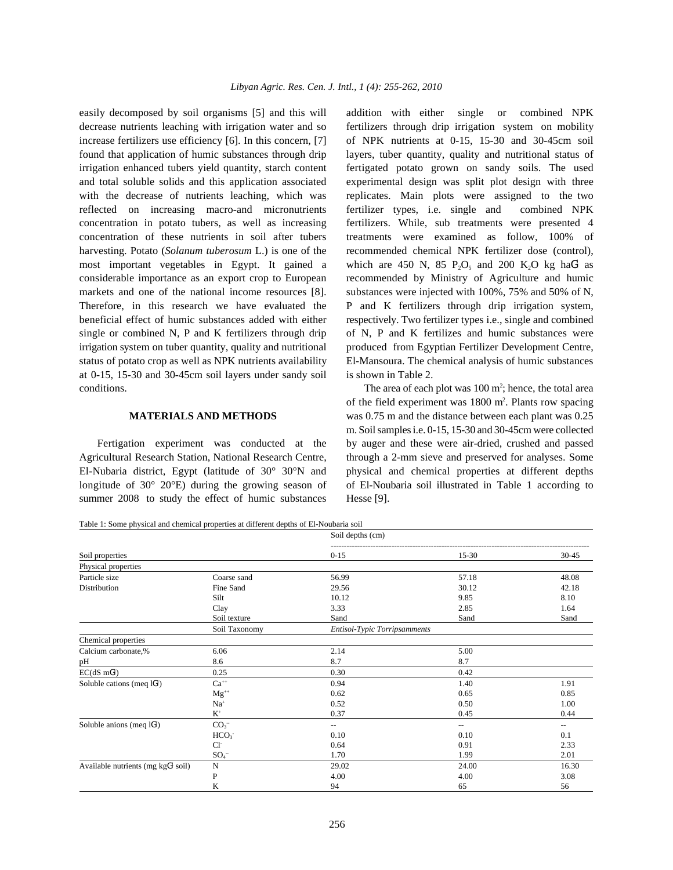decrease nutrients leaching with irrigation water and so fertilizers through drip irrigation system on mobility increase fertilizers use efficiency [6]. In this concern, [7] of NPK nutrients at 0-15, 15-30 and 30-45cm soil found that application of humic substances through drip layers, tuber quantity, quality and nutritional status of irrigation enhanced tubers yield quantity, starch content fertigated potato grown on sandy soils. The used and total soluble solids and this application associated experimental design was split plot design with three with the decrease of nutrients leaching, which was replicates. Main plots were assigned to the two reflected on increasing macro-and micronutrients fertilizer types, i.e. single and combined NPK concentration in potato tubers, as well as increasing fertilizers. While, sub treatments were presented 4 concentration of these nutrients in soil after tubers treatments were examined as follow, 100% of harvesting. Potato (*Solanum tuberosum* L.) is one of the recommended chemical NPK fertilizer dose (control), most important vegetables in Egypt. It gained a which are 450 N, 85  $P_2O_5$  and 200 K<sub>2</sub>O kg haG<sup>1</sup> as considerable importance as an export crop to European recommended by Ministry of Agriculture and humic markets and one of the national income resources [8]. substances were injected with 100%, 75% and 50% of N, Therefore, in this research we have evaluated the P and K fertilizers through drip irrigation system, beneficial effect of humic substances added with either respectively. Two fertilizer types i.e., single and combined single or combined N, P and K fertilizers through drip of N, P and K fertilizes and humic substances were irrigation system on tuber quantity, quality and nutritional produced from Egyptian Fertilizer Development Centre, status of potato crop as well as NPK nutrients availability El-Mansoura. The chemical analysis of humic substances at 0-15, 15-30 and 30-45cm soil layers under sandy soil is shown in Table 2. conditions. The area of each plot was  $100 \text{ m}^2$ ; hence, the total area

Agricultural Research Station, National Research Centre, through a 2-mm sieve and preserved for analyses. Some El-Nubaria district, Egypt (latitude of 30° 30°N and physical and chemical properties at different depths longitude of  $30^{\circ}$  20 $^{\circ}$ E) during the growing season of of El-Noubaria soil illustrated in Table 1 according to summer 2008 to study the effect of humic substances Hesse [9].

easily decomposed by soil organisms [5] and this will addition with either single or combined NPK

**MATERIALS AND METHODS** was 0.75 m and the distance between each plant was 0.25 Fertigation experiment was conducted at the by auger and these were air-dried, crushed and passed of the field experiment was  $1800 \text{ m}^2$ . Plants row spacing m. Soil samples i.e. 0-15, 15-30 and 30-45cm were collected

Table 1: Some physical and chemical properties at different depths of El-Noubaria soil

|                                      |                  | Soil depths (cm)             |       |                          |
|--------------------------------------|------------------|------------------------------|-------|--------------------------|
| Soil properties                      |                  | $0 - 15$                     | 15-30 | $30 - 45$                |
| Physical properties                  |                  |                              |       |                          |
| Particle size                        | Coarse sand      | 56.99                        | 57.18 | 48.08                    |
| Distribution                         | Fine Sand        | 29.56                        | 30.12 | 42.18                    |
|                                      | Silt             | 10.12                        | 9.85  | 8.10                     |
|                                      | Clay             | 3.33                         | 2.85  | 1.64                     |
|                                      | Soil texture     | Sand                         | Sand  | Sand                     |
|                                      | Soil Taxonomy    | Entisol-Typic Torripsamments |       |                          |
| Chemical properties                  |                  |                              |       |                          |
| Calcium carbonate,%                  | 6.06             | 2.14                         | 5.00  |                          |
| pН                                   | 8.6              | 8.7                          | 8.7   |                          |
| $EC(dS \, mG1)$                      | 0.25             | 0.30                         | 0.42  |                          |
| Soluble cations (meq $1G1$ )         | $Ca^{++}$        | 0.94                         | 1.40  | 1.91                     |
|                                      | $Mg^{++}$        | 0.62                         | 0.65  | 0.85                     |
|                                      | $Na+$            | 0.52                         | 0.50  | 1.00                     |
|                                      | $K^+$            | 0.37                         | 0.45  | 0.44                     |
| Soluble anions (meq $1G1$ )          | CO <sub>3</sub>  | --                           | --    | $\overline{\phantom{m}}$ |
|                                      | HCO <sub>3</sub> | 0.10                         | 0.10  | 0.1                      |
|                                      | $Cl^-$           | 0.64                         | 0.91  | 2.33                     |
|                                      | $SO_4^-$         | 1.70                         | 1.99  | 2.01                     |
| Available nutrients (mg $kgG1$ soil) | N                | 29.02                        | 24.00 | 16.30                    |
|                                      | P                | 4.00                         | 4.00  | 3.08                     |
|                                      | K                | 94                           | 65    | 56                       |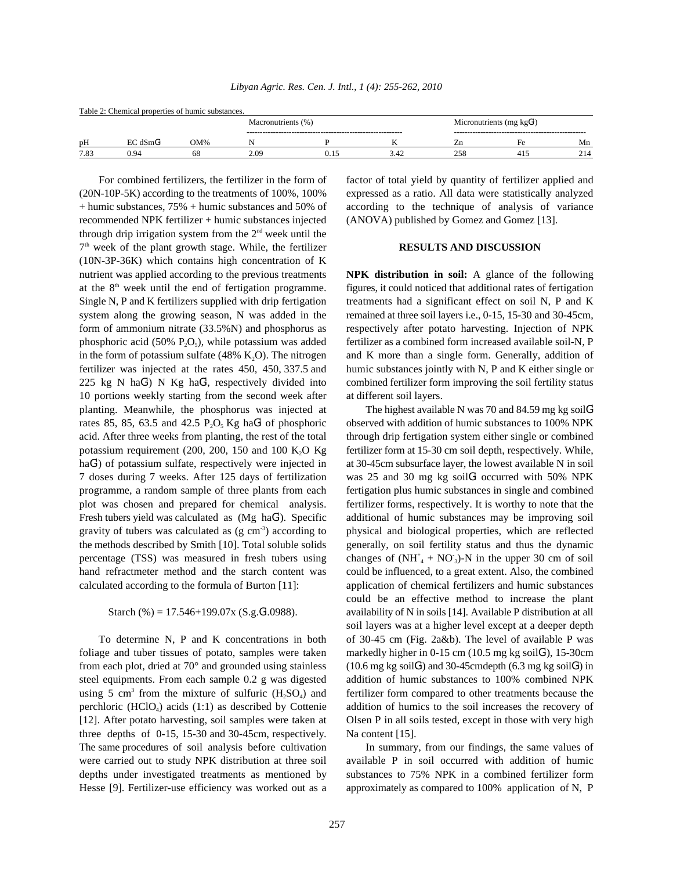|  | Libyan Agric. Res. Cen. J. Intl., 1 (4): 255-262, 2010 |  |  |  |  |  |  |
|--|--------------------------------------------------------|--|--|--|--|--|--|
|--|--------------------------------------------------------|--|--|--|--|--|--|

|      | Table 2: Chemical properties of humic substances. |     |                    |      |                             |     |
|------|---------------------------------------------------|-----|--------------------|------|-----------------------------|-----|
|      |                                                   |     | Macronutrients (%) |      | Micronutrients (mg $kgG1$ ) |     |
| pH   | EC dSmG <sup>1</sup>                              | WMC |                    |      | Hρ                          | Mn  |
| 7.83 | 0.94                                              |     | 2.09               | 3.42 | 41:                         | 214 |

(20N-10P-5K) according to the treatments of 100%, 100% expressed as a ratio. All data were statistically analyzed + humic substances, 75% + humic substances and 50% of according to the technique of analysis of variance recommended NPK fertilizer + humic substances injected (ANOVA) published by Gomez and Gomez [13]. through drip irrigation system from the  $2<sup>nd</sup>$  week until the <sup>7th</sup> week of the plant growth stage. While, the fertilizer **RESULTS AND DISCUSSION** (10N-3P-36K) which contains high concentration of K nutrient was applied according to the previous treatments **NPK distribution in soil:** A glance of the following at the  $8<sup>th</sup>$  week until the end of fertigation programme. figures, it could noticed that additional rates of fertigation Single N, P and K fertilizers supplied with drip fertigation treatments had a significant effect on soil N, P and K system along the growing season, N was added in the remained at three soil layers i.e., 0-15, 15-30 and 30-45cm, form of ammonium nitrate (33.5%N) and phosphorus as respectively after potato harvesting. Injection of NPK phosphoric acid (50%  $P_2O_5$ ), while potassium was added in the form of potassium sulfate (48% K<sub>2</sub>O). The nitrogen and K more than a single form. Generally, addition of fertilizer was injected at the rates 450, 450, 337.5 and humic substances jointly with N, P and K either single or 225 kg N haG<sup>1</sup>) N Kg haG<sup>1</sup>, respectively divided into combined fertilizer form improving the soil fertility status 10 portions weekly starting from the second week after at different soil layers. planting. Meanwhile, the phosphorus was injected at rates 85, 85, 63.5 and 42.5  $P_2O_5$  Kg haG<sup>1</sup> of phosphoric observed with addition of humic substances to 100% NPK acid. After three weeks from planting, the rest of the total through drip fertigation system either single or combined potassium requirement (200, 200, 150 and 100 K<sub>2</sub>O Kg fertilizer form at 15-30 cm soil depth, respectively. While, haG<sup>1</sup>) of potassium sulfate, respectively were injected in at 30-45cm subsurface layer, the lowest available N in soil 7 doses during 7 weeks. After 125 days of fertilization was 25 and 30 mg kg soilG<sup>1</sup> occurred with 50% NPK programme, a random sample of three plants from each fertigation plus humic substances in single and combined plot was chosen and prepared for chemical analysis. fertilizer forms, respectively. It is worthy to note that the Fresh tubers yield was calculated as  $(Mg \text{ haG}^1)$ . Specific gravity of tubers was calculated as  $(g \text{ cm}^{-3})$  according to the methods described by Smith [10]. Total soluble solids generally, on soil fertility status and thus the dynamic percentage (TSS) was measured in fresh tubers using changes of  $(NH^+_{4} + NO^-_{3})$ -N in the upper 30 cm of soil hand refractmeter method and the starch content was could be influenced, to a great extent. Also, the combined calculated according to the formula of Burton [11]: application of chemical fertilizers and humic substances

Starch (%) = 17.546+199.07x (S.g. $G^1.0988$ ).

foliage and tuber tissues of potato, samples were taken markedly higher in  $0-15$  cm ( $10.5$  mg kg soil $\mathcal{G}^1$ ), 15-30cm from each plot, dried at 70 $^{\circ}$  and grounded using stainless (10.6 mg kg soil $G'$ ) and 30-45cmdepth (6.3 mg kg soil $G'$ ) in steel equipments. From each sample 0.2 g was digested addition of humic substances to 100% combined NPK <sup>3</sup> from the mixture of sulfuric  $(H_2SO_4)$ perchloric (HClO<sub>4</sub>) acids (1:1) as described by Cottenie addition of humics to the soil increases the recovery of [12]. After potato harvesting, soil samples were taken at Olsen P in all soils tested, except in those with very high three depths of  $0-15$ , 15-30 and 30-45cm, respectively. Na content [15]. The same procedures of soil analysis before cultivation In summary, from our findings, the same values of were carried out to study NPK distribution at three soil available P in soil occurred with addition of humic depths under investigated treatments as mentioned by substances to 75% NPK in a combined fertilizer form Hesse [9]. Fertilizer-use efficiency was worked out as a approximately as compared to 100% application of N, P

For combined fertilizers, the fertilizer in the form of factor of total yield by quantity of fertilizer applied and

fertilizer as a combined form increased available soil-N, P

additional of humic substances may be improving soil physical and biological properties, which are reflected availability of N in soils [14]. Available P distribution at all To determine N, P and K concentrations in both of 30-45 cm (Fig. 2a&b). The level of available P was fertilizer form compared to other treatments because the The highest available N was 70 and 84.59 mg kg soil $G<sup>1</sup>$ could be an effective method to increase the plant soil layers was at a higher level except at a deeper depth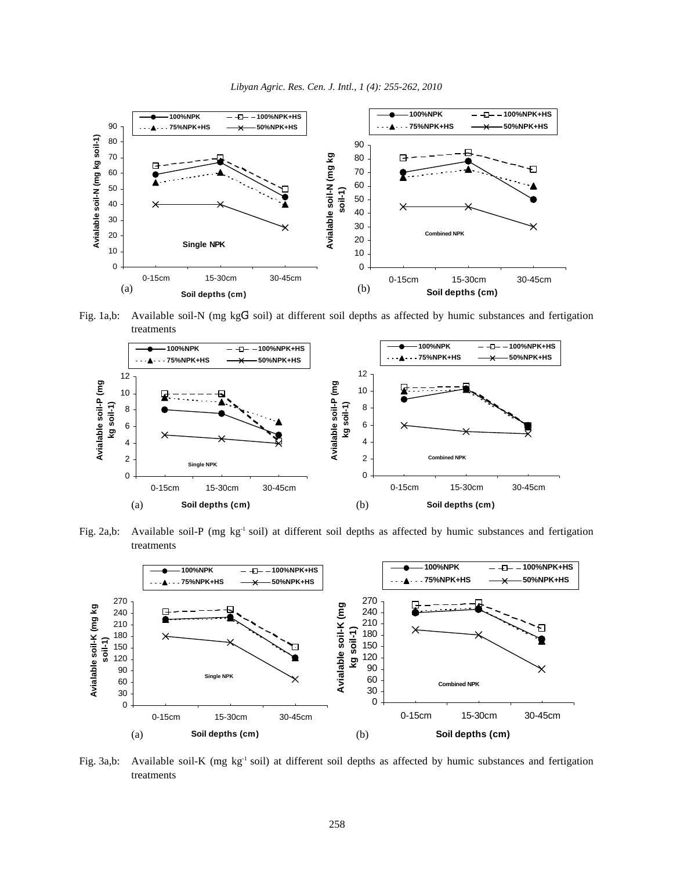

Fig. 1a,b: Available soil-N (mg kg $G^1$  soil) at different soil depths as affected by humic substances and fertigation treatments



Fig. 2a,b: Available soil-P (mg  $kg^{-1}$  soil) at different soil depths as affected by humic substances and fertigation treatments



Fig. 3a,b: Available soil-K (mg  $kg^{-1}$  soil) at different soil depths as affected by humic substances and fertigation treatments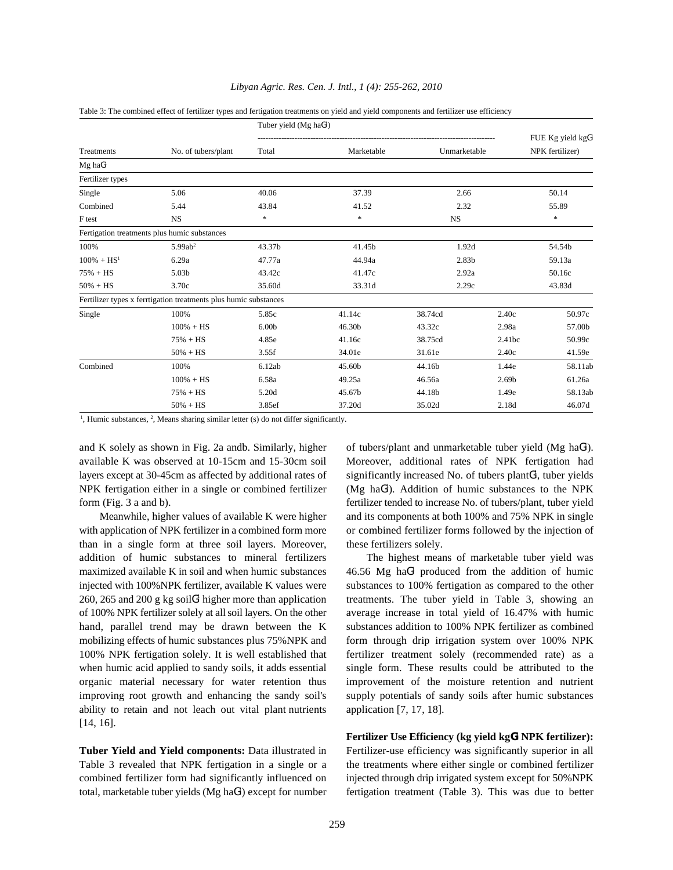|                  |                                                                  | Tuber yield $(Mg \text{ haG}^1)$ |            |                   |                   |                                        |
|------------------|------------------------------------------------------------------|----------------------------------|------------|-------------------|-------------------|----------------------------------------|
| Treatments       | No. of tubers/plant                                              | Total                            | Marketable | Unmarketable      |                   | FUE Kg yield $kgG1$<br>NPK fertilizer) |
| $Mg$ ha $G1$     |                                                                  |                                  |            |                   |                   |                                        |
| Fertilizer types |                                                                  |                                  |            |                   |                   |                                        |
| Single           | 5.06                                                             | 40.06                            | 37.39      | 2.66              |                   | 50.14                                  |
| Combined         | 5.44                                                             | 43.84                            | 41.52      | 2.32              |                   | 55.89                                  |
| F test           | <b>NS</b>                                                        | *                                | $\ast$     | <b>NS</b>         |                   | *                                      |
|                  | Fertigation treatments plus humic substances                     |                                  |            |                   |                   |                                        |
| 100%             | 5.99ab <sup>2</sup>                                              | 43.37b                           | 41.45b     | 1.92d             |                   | 54.54b                                 |
| $100\% + HS^1$   | 6.29a                                                            | 47.77a                           | 44.94a     | 2.83 <sub>b</sub> |                   | 59.13a                                 |
| $75% + HS$       | 5.03b                                                            | 43.42c                           | 41.47c     | 2.92a             |                   | 50.16c                                 |
| $50% + HS$       | 3.70c                                                            | 35.60d                           | 33.31d     | 2.29c             |                   | 43.83d                                 |
|                  | Fertilizer types x ferrtigation treatments plus humic substances |                                  |            |                   |                   |                                        |
| Single           | 100%                                                             | 5.85c                            | 41.14c     | 38.74cd           | 2.40c             | 50.97c                                 |
|                  | $100\% + HS$                                                     | 6.00 <sub>b</sub>                | 46.30b     | 43.32c            | 2.98a             | 57.00b                                 |
|                  | $75% + HS$                                                       | 4.85e                            | 41.16c     | 38.75cd           | 2.41bc            | 50.99c                                 |
|                  | $50% + HS$                                                       | 3.55f                            | 34.01e     | 31.61e            | 2.40c             | 41.59e                                 |
| Combined         | 100%                                                             | 6.12ab                           | 45.60b     | 44.16b            | 1.44e             | 58.11ab                                |
|                  | $100\% + HS$                                                     | 6.58a                            | 49.25a     | 46.56a            | 2.69 <sub>b</sub> | 61.26a                                 |
|                  | $75% + HS$                                                       | 5.20d                            | 45.67b     | 44.18b            | 1.49e             | 58.13ab                                |
|                  | $50\% + HS$                                                      | 3.85ef                           | 37.20d     | 35.02d            | 2.18d             | 46.07d                                 |

## *Libyan Agric. Res. Cen. J. Intl., 1 (4): 255-262, 2010*

Table 3: The combined effect of fertilizer types and fertigation treatments on yield and yield components and fertilizer use efficiency

<sup>1</sup>, Humic substances,  $\frac{2}{3}$ , Means sharing similar letter (s) do not differ significantly.

and K solely as shown in Fig. 2a andb. Similarly, higher available K was observed at 10-15cm and 15-30cm soil Moreover, additional rates of NPK fertigation had layers except at 30-45cm as affected by additional rates of significantly increased No. of tubers plant $G<sup>1</sup>$ , tuber yields NPK fertigation either in a single or combined fertilizer (Mg  $haf$ ). Addition of humic substances to the NPK form (Fig. 3 a and b). fertilizer tended to increase No. of tubers/plant, tuber yield

with application of NPK fertilizer in a combined form more or combined fertilizer forms followed by the injection of than in a single form at three soil layers. Moreover, these fertilizers solely. addition of humic substances to mineral fertilizers The highest means of marketable tuber yield was maximized available K in soil and when humic substances  $46.56$  Mg haG produced from the addition of humic injected with 100%NPK fertilizer, available K values were substances to 100% fertigation as compared to the other 260, 265 and 200 g kg soil $G<sup>1</sup>$  higher more than application of 100% NPK fertilizer solely at all soil layers. On the other average increase in total yield of 16.47% with humic hand, parallel trend may be drawn between the K substances addition to 100% NPK fertilizer as combined mobilizing effects of humic substances plus 75%NPK and form through drip irrigation system over 100% NPK 100% NPK fertigation solely. It is well established that fertilizer treatment solely (recommended rate) as a when humic acid applied to sandy soils, it adds essential single form. These results could be attributed to the organic material necessary for water retention thus improvement of the moisture retention and nutrient improving root growth and enhancing the sandy soil's supply potentials of sandy soils after humic substances ability to retain and not leach out vital plant nutrients application [7, 17, 18]. [14, 16].

Table 3 revealed that NPK fertigation in a single or a the treatments where either single or combined fertilizer total, marketable tuber yields (Mg haG<sup>1</sup>) except for number fertigation treatment (Table 3). This was due to better

Meanwhile, higher values of available K were higher and its components at both 100% and 75% NPK in single of tubers/plant and unmarketable tuber yield (Mg haG<sup>1</sup>).

treatments. The tuber yield in Table 3, showing an

**Tuber Yield and Yield components:** Data illustrated in Fertilizer-use efficiency was significantly superior in all combined fertilizer form had significantly influenced on injected through drip irrigated system except for 50%NPK **Fertilizer Use Efficiency (kg yield kgG NPK fertilizer): <sup>1</sup>**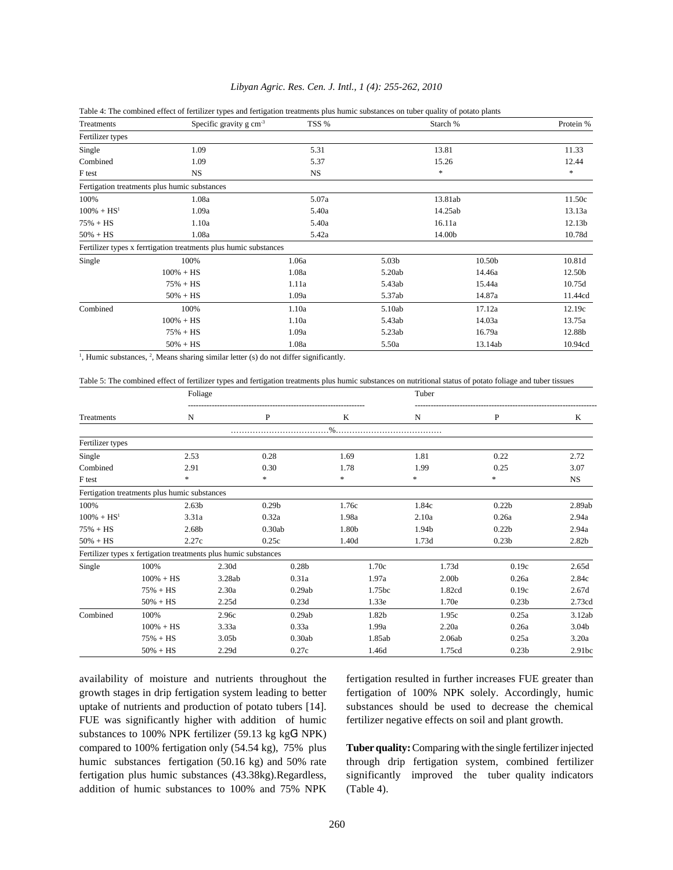| Treatments       | Table 4. The combined effect of ferunzer types and fertigation treatments plus numic substances on tuber quanty of potato plants<br>Specific gravity $g \text{ cm}^{-3}$ | TSS %     |                   | Starch % | Protein % |
|------------------|--------------------------------------------------------------------------------------------------------------------------------------------------------------------------|-----------|-------------------|----------|-----------|
| Fertilizer types |                                                                                                                                                                          |           |                   |          |           |
| Single           | 1.09                                                                                                                                                                     | 5.31      |                   | 13.81    | 11.33     |
| Combined         | 1.09                                                                                                                                                                     | 5.37      |                   | 15.26    | 12.44     |
| F test           | NS.                                                                                                                                                                      | <b>NS</b> |                   | $\ast$   | *         |
|                  | Fertigation treatments plus humic substances                                                                                                                             |           |                   |          |           |
| 100%             | 1.08a                                                                                                                                                                    | 5.07a     |                   | 13.81ab  | 11.50c    |
| $100\% + HS^1$   | 1.09a                                                                                                                                                                    | 5.40a     |                   | 14.25ab  | 13.13a    |
| $75% + HS$       | 1.10a                                                                                                                                                                    | 5.40a     |                   | 16.11a   | 12.13b    |
| $50\% + HS$      | 1.08a                                                                                                                                                                    | 5.42a     |                   | 14.00b   | 10.78d    |
|                  | Fertilizer types x ferrtigation treatments plus humic substances                                                                                                         |           |                   |          |           |
| Single           | 100%                                                                                                                                                                     | 1.06a     | 5.03 <sub>b</sub> | 10.50b   | 10.81d    |
|                  | $100\% + HS$                                                                                                                                                             | 1.08a     | 5.20ab            | 14.46a   | 12.50b    |
|                  | $75% + HS$                                                                                                                                                               | 1.11a     | 5.43ab            | 15.44a   | 10.75d    |
|                  | $50\% + HS$                                                                                                                                                              | 1.09a     | 5.37ab            | 14.87a   | 11.44cd   |
| Combined         | 100%                                                                                                                                                                     | 1.10a     | 5.10ab            | 17.12a   | 12.19c    |
|                  | $100\% + HS$                                                                                                                                                             | 1.10a     | 5.43ab            | 14.03a   | 13.75a    |
|                  | $75% + HS$                                                                                                                                                               | 1.09a     | 5.23ab            | 16.79a   | 12.88b    |
|                  | $50\% + HS$                                                                                                                                                              | 1.08a     | 5.50a             | 13.14ab  | 10.94cd   |

## *Libyan Agric. Res. Cen. J. Intl., 1 (4): 255-262, 2010*

Table 4: The combined effect of fertilizer types and fertigation treatments plus humic substances on tuber quality of potato plants

 $<sup>1</sup>$ , Humic substances,  $<sup>2</sup>$ , Means sharing similar letter (s) do not differ significantly.</sup></sup>

Table 5: The combined effect of fertilizer types and fertigation treatments plus humic substances on nutritional status of potato foliage and tuber tissues

|                  |                                                                 | Foliage |                   |               | Tuber             |                   |                   |
|------------------|-----------------------------------------------------------------|---------|-------------------|---------------|-------------------|-------------------|-------------------|
| Treatments       | N                                                               |         | P                 | K             | N                 | P                 | K                 |
|                  |                                                                 |         |                   | $\frac{0}{6}$ |                   |                   |                   |
| Fertilizer types |                                                                 |         |                   |               |                   |                   |                   |
| Single           | 2.53                                                            |         | 0.28              | 1.69          | 1.81              | 0.22              | 2.72              |
| Combined         | 2.91                                                            |         | 0.30              | 1.78          | 1.99              | 0.25              | 3.07              |
| F test           | *                                                               |         | *                 | *             | ∗                 | $\ast$            | $_{\rm NS}$       |
|                  | Fertigation treatments plus humic substances                    |         |                   |               |                   |                   |                   |
| 100%             | 2.63 <sub>b</sub>                                               |         | 0.29 <sub>b</sub> | 1.76c         | 1.84c             | 0.22 <sub>b</sub> | 2.89ab            |
| $100\% + HS^1$   | 3.31a                                                           |         | 0.32a             | 1.98a         | 2.10a             | 0.26a             | 2.94a             |
| $75% + HS$       | 2.68b                                                           |         | 0.30ab            | 1.80b         | 1.94b             | 0.22 <sub>b</sub> | 2.94a             |
| $50% + HS$       | 2.27c                                                           |         | 0.25c             | 1.40d         | 1.73d             | 0.23 <sub>b</sub> | 2.82 <sub>b</sub> |
|                  | Fertilizer types x fertigation treatments plus humic substances |         |                   |               |                   |                   |                   |
| Single           | 100%                                                            | 2.30d   | 0.28 <sub>b</sub> | 1.70c         | 1.73d             | 0.19c             | 2.65d             |
|                  | $100\% + HS$                                                    | 3.28ab  | 0.31a             | 1.97a         | 2.00 <sub>b</sub> | 0.26a             | 2.84c             |
|                  | $75% + HS$                                                      | 2.30a   | 0.29ab            | 1.75bc        | 1.82cd            | 0.19c             | 2.67d             |
|                  | $50\% + HS$                                                     | 2.25d   | 0.23d             | 1.33e         | 1.70e             | 0.23 <sub>b</sub> | 2.73cd            |
| Combined         | 100%                                                            | 2.96c   | 0.29ab            | 1.82b         | 1.95c             | 0.25a             | 3.12ab            |
|                  | $100\% + HS$                                                    | 3.33a   | 0.33a             | 1.99a         | 2.20a             | 0.26a             | 3.04b             |
|                  | $75% + HS$                                                      | 3.05b   | 0.30ab            | 1.85ab        | 2.06ab            | 0.25a             | 3.20a             |
|                  | $50\% + HS$                                                     | 2.29d   | 0.27c             | 1.46d         | 1.75cd            | 0.23 <sub>b</sub> | 2.91bc            |

availability of moisture and nutrients throughout the fertigation resulted in further increases FUE greater than growth stages in drip fertigation system leading to better fertigation of 100% NPK solely. Accordingly, humic uptake of nutrients and production of potato tubers [14]. substances should be used to decrease the chemical FUE was significantly higher with addition of humic fertilizer negative effects on soil and plant growth. substances to  $100\%$  NPK fertilizer (59.13 kg kg $G<sup>1</sup>$  NPK) compared to 100% fertigation only (54.54 kg), 75% plus **Tuber quality:** Comparing with the single fertilizer injected humic substances fertigation (50.16 kg) and 50% rate through drip fertigation system, combined fertilizer fertigation plus humic substances (43.38kg).Regardless, significantly improved the tuber quality indicators addition of humic substances to 100% and 75% NPK (Table 4).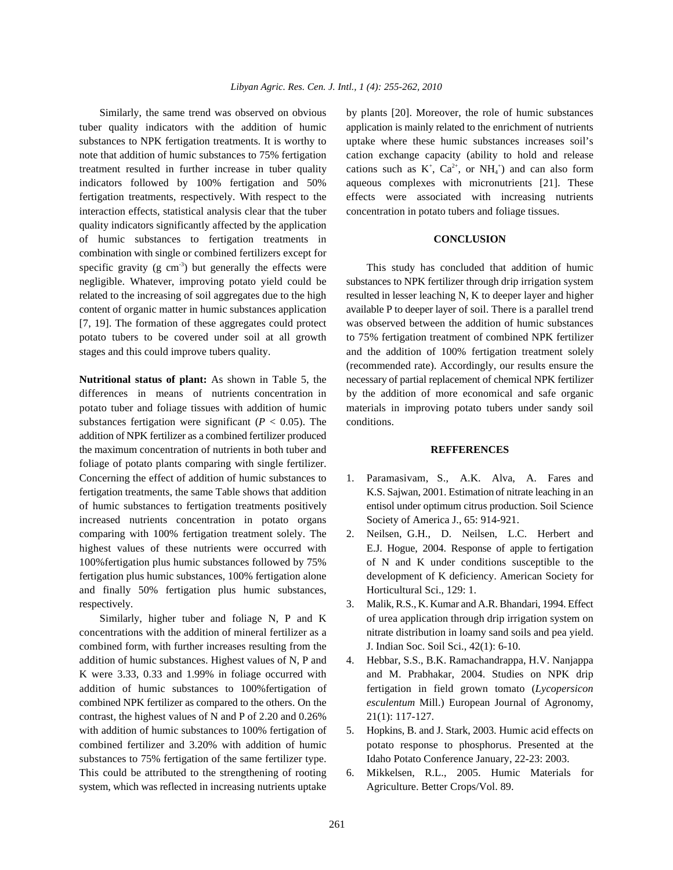treatment resulted in further increase in tuber quality cations such as  $K^+$ ,  $Ca^{2+}$ , or  $NH_4^+$ ) and can also form interaction effects, statistical analysis clear that the tuber concentration in potato tubers and foliage tissues. quality indicators significantly affected by the application of humic substances to fertigation treatments in **CONCLUSION** combination with single or combined fertilizers except for specific gravity (g cm<sup>-3</sup>) but generally the effects were This study has concluded that addition of humic

substances fertigation were significant  $(P < 0.05)$ . The conditions. addition of NPK fertilizer as a combined fertilizer produced the maximum concentration of nutrients in both tuber and **REFFERENCES** foliage of potato plants comparing with single fertilizer. Concerning the effect of addition of humic substances to 1. Paramasivam, S., A.K. Alva, A. Fares and increased nutrients concentration in potato organs Society of America J., 65: 914-921. comparing with 100% fertigation treatment solely. The 2. Neilsen, G.H., D. Neilsen, L.C. Herbert and highest values of these nutrients were occurred with E.J. Hogue, 2004. Response of apple to fertigation 100%fertigation plus humic substances followed by 75% of N and K under conditions susceptible to the fertigation plus humic substances, 100% fertigation alone development of K deficiency. American Society for and finally 50% fertigation plus humic substances, Horticultural Sci., 129: 1. respectively. 3. Malik, R.S., K. Kumar and A.R. Bhandari, 1994. Effect

combined form, with further increases resulting from the J. Indian Soc. Soil Sci., 42(1): 6-10. addition of humic substances. Highest values of N, P and 4. Hebbar, S.S., B.K. Ramachandrappa, H.V. Nanjappa contrast, the highest values of N and P of 2.20 and  $0.26\%$  21(1): 117-127. with addition of humic substances to 100% fertigation of 5. Hopkins, B. and J. Stark, 2003. Humic acid effects on substances to 75% fertigation of the same fertilizer type. Idaho Potato Conference January, 22-23: 2003. This could be attributed to the strengthening of rooting 6. Mikkelsen, R.L., 2005. Humic Materials for system, which was reflected in increasing nutrients uptake Agriculture. Better Crops/Vol. 89.

Similarly, the same trend was observed on obvious by plants [20]. Moreover, the role of humic substances tuber quality indicators with the addition of humic application is mainly related to the enrichment of nutrients substances to NPK fertigation treatments. It is worthy to uptake where these humic substances increases soil's note that addition of humic substances to 75% fertigation cation exchange capacity (ability to hold and release indicators followed by 100% fertigation and 50% aqueous complexes with micronutrients [21]. These fertigation treatments, respectively. With respect to the effects were associated with increasing nutrients

negligible. Whatever, improving potato yield could be substances to NPK fertilizer through drip irrigation system related to the increasing of soil aggregates due to the high resulted in lesser leaching N, K to deeper layer and higher content of organic matter in humic substances application available P to deeper layer of soil. There is a parallel trend [7, 19]. The formation of these aggregates could protect was observed between the addition of humic substances potato tubers to be covered under soil at all growth to 75% fertigation treatment of combined NPK fertilizer stages and this could improve tubers quality. and the addition of 100% fertigation treatment solely **Nutritional status of plant:** As shown in Table 5, the necessary of partial replacement of chemical NPK fertilizer differences in means of nutrients concentration in by the addition of more economical and safe organic potato tuber and foliage tissues with addition of humic materials in improving potato tubers under sandy soil (recommended rate). Accordingly, our results ensure the

- fertigation treatments, the same Table shows that addition K.S. Sajwan, 2001. Estimation of nitrate leaching in an of humic substances to fertigation treatments positively entisol under optimum citrus production. Soil Science
	-
- Similarly, higher tuber and foliage N, P and K of urea application through drip irrigation system on concentrations with the addition of mineral fertilizer as a nitrate distribution in loamy sand soils and pea yield.
- K were 3.33, 0.33 and 1.99% in foliage occurred with and M. Prabhakar, 2004. Studies on NPK drip addition of humic substances to 100%fertigation of fertigation in field grown tomato (*Lycopersicon* combined NPK fertilizer as compared to the others. On the *esculentum* Mill.) European Journal of Agronomy,
- combined fertilizer and 3.20% with addition of humic potato response to phosphorus. Presented at the
	-